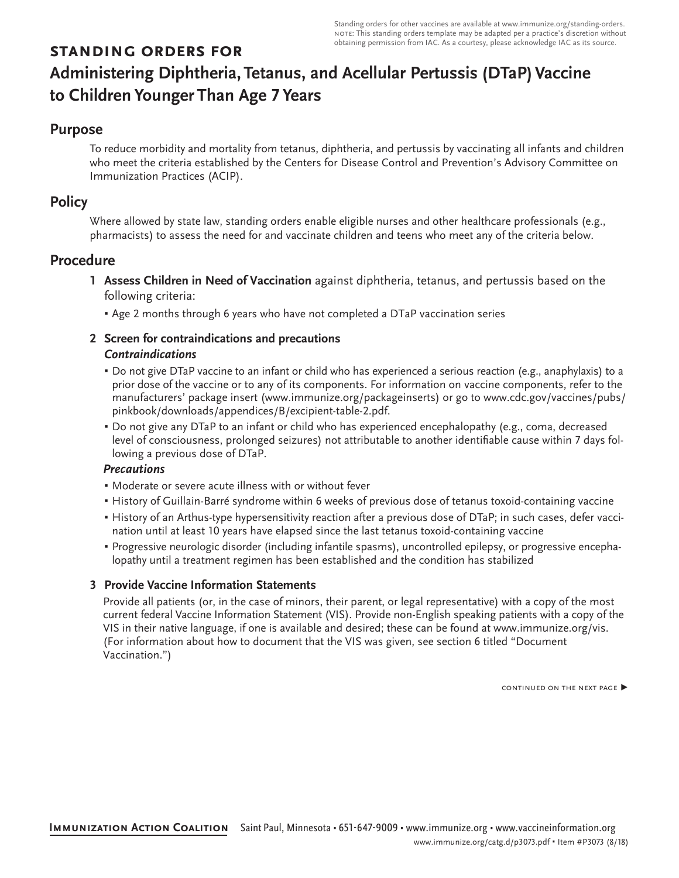# **standing orders for Administering Diphtheria, Tetanus, and Acellular Pertussis (DTaP) Vaccine to Children Younger Than Age 7 Years**

# **Purpose**

To reduce morbidity and mortality from tetanus, diphtheria, and pertussis by vaccinating all infants and children who meet the criteria established by the Centers for Disease Control and Prevention's Advisory Committee on Immunization Practices (ACIP).

# **Policy**

Where allowed by state law, standing orders enable eligible nurses and other healthcare professionals (e.g., pharmacists) to assess the need for and vaccinate children and teens who meet any of the criteria below.

# **Procedure**

- **1 Assess Children in Need of Vaccination** against diphtheria, tetanus, and pertussis based on the following criteria:
	- **Age 2 months through 6 years who have not completed a DTaP vaccination series**

# **2 Screen for contraindications and precautions** *Contraindications*

- Do not give DTaP vaccine to an infant or child who has experienced a serious reaction (e.g., anaphylaxis) to a prior dose of the vaccine or to any of its components. For information on vaccine components, refer to the manufacturers' package insert (www.immunize.org/packageinserts) or go to www.cdc.gov/vaccines/pubs/ pinkbook/downloads/appendices/B/excipient-table-2.pdf.
- Do not give any DTaP to an infant or child who has experienced encephalopathy (e.g., coma, decreased level of consciousness, prolonged seizures) not attributable to another identifiable cause within 7 days following a previous dose of DTaP.

### *Precautions*

- Moderate or severe acute illness with or without fever
- History of Guillain-Barré syndrome within 6 weeks of previous dose of tetanus toxoid-containing vaccine
- History of an Arthus-type hypersensitivity reaction after a previous dose of DTaP; in such cases, defer vaccination until at least 10 years have elapsed since the last tetanus toxoid-containing vaccine
- Progressive neurologic disorder (including infantile spasms), uncontrolled epilepsy, or progressive encephalopathy until a treatment regimen has been established and the condition has stabilized

## **3 Provide Vaccine Information Statements**

Provide all patients (or, in the case of minors, their parent, or legal representative) with a copy of the most current federal Vaccine Information Statement (VIS). Provide non-English speaking patients with a copy of the VIS in their native language, if one is available and desired; these can be found at www.immunize.org/vis. (For information about how to document that the VIS was given, see section 6 titled "Document Vaccination.")

continued on the next page ▶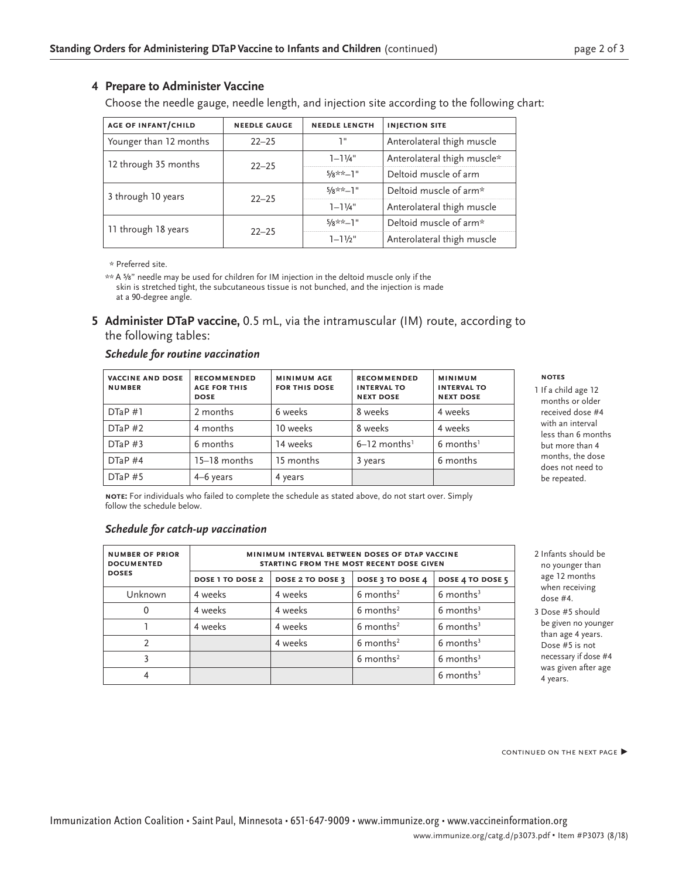### **4 Prepare to Administer Vaccine**

Choose the needle gauge, needle length, and injection site according to the following chart:

| <b>AGE OF INFANT/CHILD</b> | <b>NEEDLE GAUGE</b> | <b>NEEDLE LENGTH</b> | <b>INJECTION SITE</b>       |
|----------------------------|---------------------|----------------------|-----------------------------|
| Younger than 12 months     | יי ד<br>$22 - 25$   |                      | Anterolateral thigh muscle  |
| 12 through 35 months       | $22 - 25$           | $1 - 11/4$ "         | Anterolateral thigh muscle* |
|                            |                     | $5/8$ **-1"          | Deltoid muscle of arm       |
| 3 through 10 years         | $22 - 25$           | $5/8**-1"$           | Deltoid muscle of arm*      |
|                            |                     | $1 - 11/4$ "         | Anterolateral thigh muscle  |
| 11 through 18 years        | $22 - 25$           | $5/8**-1"$           | Deltoid muscle of arm*      |
|                            |                     | $1 - 11/2$ "         | Anterolateral thigh muscle  |

\* Preferred site.

\*\* A ⅝" needle may be used for children for IM injection in the deltoid muscle only if the skin is stretched tight, the subcutaneous tissue is not bunched, and the injection is made at a 90-degree angle.

**5 Administer DTaP vaccine,** 0.5 mL, via the intramuscular (IM) route, according to the following tables:

#### *Schedule for routine vaccination*

| <b>VACCINE AND DOSE</b><br><b>NUMBER</b> | <b>RECOMMENDED</b><br><b>AGE FOR THIS</b><br><b>DOSE</b> | <b>MINIMUM AGE</b><br><b>FOR THIS DOSE</b> | <b>RECOMMENDED</b><br><b>INTERVAL TO</b><br><b>NEXT DOSE</b> | <b>MINIMUM</b><br><b>INTERVAL TO</b><br><b>NEXT DOSE</b> |
|------------------------------------------|----------------------------------------------------------|--------------------------------------------|--------------------------------------------------------------|----------------------------------------------------------|
| DTaP #1                                  | 2 months                                                 | 6 weeks                                    | 8 weeks                                                      | 4 weeks                                                  |
| DTaP#2                                   | 4 months                                                 | 10 weeks                                   | 8 weeks                                                      | 4 weeks                                                  |
| DTaP#3                                   | 6 months                                                 | 14 weeks                                   | $6-12$ months <sup>1</sup>                                   | $6$ months <sup>1</sup>                                  |
| DTaP#4                                   | 15-18 months                                             | 15 months                                  | 3 years                                                      | 6 months                                                 |
| DTaP#5                                   | 4–6 years                                                | 4 years                                    |                                                              |                                                          |

**note:** For individuals who failed to complete the schedule as stated above, do not start over. Simply follow the schedule below.

### *Schedule for catch-up vaccination*

| <b>NUMBER OF PRIOR</b><br><b>DOCUMENTED</b> | MINIMUM INTERVAL BETWEEN DOSES OF DTAP VACCINE<br>STARTING FROM THE MOST RECENT DOSE GIVEN |                  |                         |                         |  |
|---------------------------------------------|--------------------------------------------------------------------------------------------|------------------|-------------------------|-------------------------|--|
| <b>DOSES</b>                                | <b>DOSE 1 TO DOSE 2</b>                                                                    | DOSE 2 TO DOSE 3 | DOSE 3 TO DOSE 4        | DOSE 4 TO DOSE 5        |  |
| Unknown                                     | 4 weeks                                                                                    | 4 weeks          | $6$ months <sup>2</sup> | $6$ months <sup>3</sup> |  |
|                                             | 4 weeks                                                                                    | 4 weeks          | $6$ months <sup>2</sup> | $6$ months <sup>3</sup> |  |
|                                             | 4 weeks                                                                                    | 4 weeks          | $6$ months <sup>2</sup> | $6$ months <sup>3</sup> |  |
| າ                                           |                                                                                            | 4 weeks          | $6$ months <sup>2</sup> | $6$ months <sup>3</sup> |  |
| 3                                           |                                                                                            |                  | $6$ months <sup>2</sup> | $6$ months <sup>3</sup> |  |
| 4                                           |                                                                                            |                  |                         | $6$ months <sup>3</sup> |  |

#### **notes**

- 1 If a child age 12 months or older received dose #4 with an interval less than 6 months but more than 4 months, the dose does not need to be repeated.
- 2 Infants should be no younger than age 12 months when receiving dose #4.
- 3 Dose #5 should be given no younger than age 4 years. Dose #5 is not necessary if dose #4 was given after age 4 years.

CONTINUED ON THE NEXT PAGE ▶